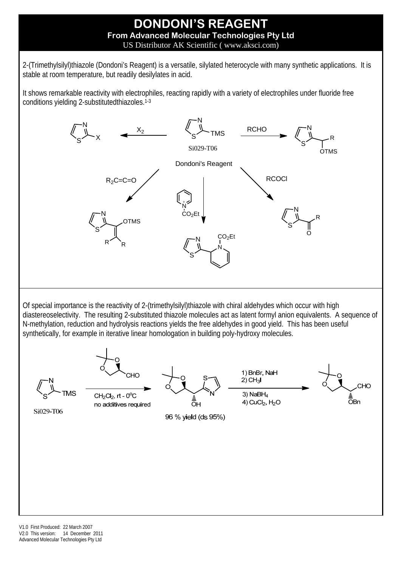## **DONDONI'S REAGENT From Advanced Molecular Technologies Pty Ltd**  US Distributor AK Scientific ( www.aksci.com)

2-(Trimethylsilyl)thiazole (Dondoni's Reagent) is a versatile, silylated heterocycle with many synthetic applications. It is stable at room temperature, but readily desilylates in acid.

It shows remarkable reactivity with electrophiles, reacting rapidly with a variety of electrophiles under fluoride free conditions yielding 2-substitutedthiazoles.1-3